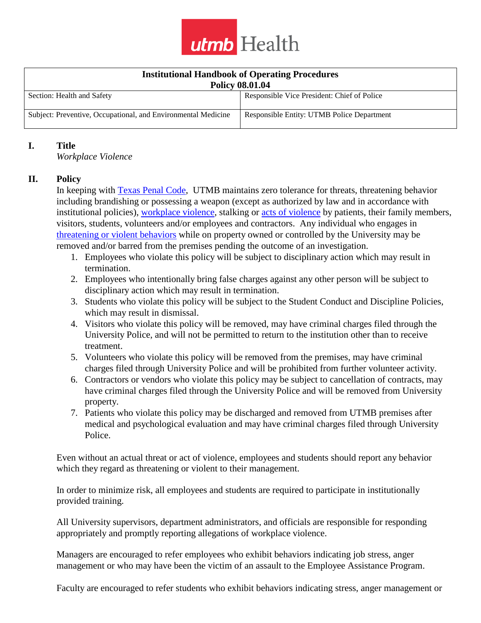

| <b>Institutional Handbook of Operating Procedures</b>         |                                             |
|---------------------------------------------------------------|---------------------------------------------|
| <b>Policy 08.01.04</b>                                        |                                             |
| Section: Health and Safety                                    | Responsible Vice President: Chief of Police |
| Subject: Preventive, Occupational, and Environmental Medicine | Responsible Entity: UTMB Police Department  |

## **I. Title**

*Workplace Violence*

## **II. Policy**

In keeping with [Texas Penal](http://www.statutes.legis.state.tx.us/Docs/PE/htm/PE.42.htm) Code, UTMB maintains zero tolerance for threats, threatening behavior including brandishing or possessing a weapon (except as authorized by law and in accordance with institutional policies), [workplace violence,](https://www.utmb.edu/policies_and_procedures/policyLinks.aspx?id=609) stalking or [acts of violence](https://www.utmb.edu/policies_and_procedures/policyLinks.aspx?id=8) by patients, their family members, visitors, students, volunteers and/or employees and contractors. Any individual who engages in [threatening or violent behaviors](https://www.utmb.edu/policies_and_procedures/policyLinks.aspx?id=559) while on property owned or controlled by the University may be removed and/or barred from the premises pending the outcome of an investigation.

- 1. Employees who violate this policy will be subject to disciplinary action which may result in termination.
- 2. Employees who intentionally bring false charges against any other person will be subject to disciplinary action which may result in termination.
- 3. Students who violate this policy will be subject to the Student Conduct and Discipline Policies, which may result in dismissal.
- 4. Visitors who violate this policy will be removed, may have criminal charges filed through the University Police, and will not be permitted to return to the institution other than to receive treatment.
- 5. Volunteers who violate this policy will be removed from the premises, may have criminal charges filed through University Police and will be prohibited from further volunteer activity.
- 6. Contractors or vendors who violate this policy may be subject to cancellation of contracts, may have criminal charges filed through the University Police and will be removed from University property.
- 7. Patients who violate this policy may be discharged and removed from UTMB premises after medical and psychological evaluation and may have criminal charges filed through University Police.

Even without an actual threat or act of violence, employees and students should report any behavior which they regard as threatening or violent to their management.

In order to minimize risk, all employees and students are required to participate in institutionally provided training.

All University supervisors, department administrators, and officials are responsible for responding appropriately and promptly reporting allegations of workplace violence.

Managers are encouraged to refer employees who exhibit behaviors indicating job stress, anger management or who may have been the victim of an assault to the Employee Assistance Program.

Faculty are encouraged to refer students who exhibit behaviors indicating stress, anger management or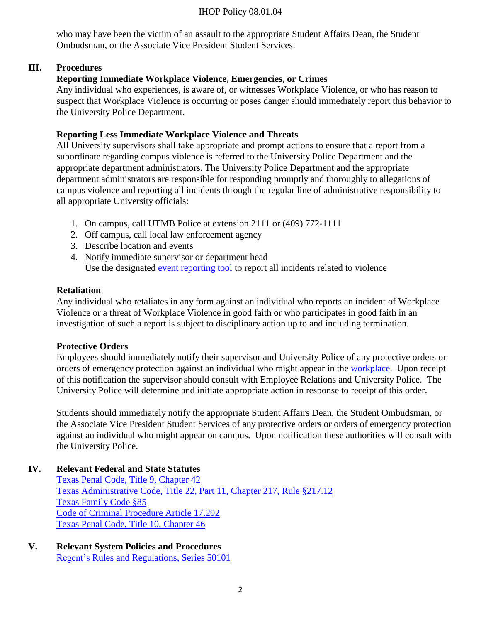#### IHOP Policy 08.01.04

who may have been the victim of an assault to the appropriate Student Affairs Dean, the Student Ombudsman, or the Associate Vice President Student Services.

## **III. Procedures**

# **Reporting Immediate Workplace Violence, Emergencies, or Crimes**

Any individual who experiences, is aware of, or witnesses Workplace Violence, or who has reason to suspect that Workplace Violence is occurring or poses danger should immediately report this behavior to the University Police Department.

# **Reporting Less Immediate Workplace Violence and Threats**

All University supervisors shall take appropriate and prompt actions to ensure that a report from a subordinate regarding campus violence is referred to the University Police Department and the appropriate department administrators. The University Police Department and the appropriate department administrators are responsible for responding promptly and thoroughly to allegations of campus violence and reporting all incidents through the regular line of administrative responsibility to all appropriate University officials:

- 1. On campus, call UTMB Police at extension 2111 or (409) 772-1111
- 2. Off campus, call local law enforcement agency
- 3. Describe location and events
- 4. Notify immediate supervisor or department head Use the designated [event reporting tool](https://vwp2rldatix01.utmb.edu/UTMBH_Prod/Homecenter/Client/Login.aspx?ReturnUrl=%2fUTMBH_Prod) to report all incidents related to violence

## **Retaliation**

Any individual who retaliates in any form against an individual who reports an incident of Workplace Violence or a threat of Workplace Violence in good faith or who participates in good faith in an investigation of such a report is subject to disciplinary action up to and including termination.

## **Protective Orders**

Employees should immediately notify their supervisor and University Police of any protective orders or orders of emergency protection against an individual who might appear in the [workplace.](https://www.utmb.edu/policies_and_procedures/policyLinks.aspx?id=608) Upon receipt of this notification the supervisor should consult with Employee Relations and University Police. The University Police will determine and initiate appropriate action in response to receipt of this order.

Students should immediately notify the appropriate Student Affairs Dean, the Student Ombudsman, or the Associate Vice President Student Services of any protective orders or orders of emergency protection against an individual who might appear on campus. Upon notification these authorities will consult with the University Police.

# **IV. Relevant Federal and State Statutes**

[Texas Penal Code, Title 9, Chapter 42](http://www.statutes.legis.state.tx.us/Docs/PE/htm/PE.42.htm) [Texas Administrative Code, Title 22, Part 11, Chapter 217, Rule §217.12](http://www.bon.texas.gov/rr_current/217-12.asp) [Texas Family Code §85](http://www.statutes.legis.state.tx.us/Docs/FA/htm/FA.85.htm) [Code of Criminal Procedure Article 17.292](http://www.statutes.legis.state.tx.us/Docs/CR/htm/CR.17.htm) [Texas Penal Code, Title 10, Chapter 46](http://www.statutes.legis.state.tx.us/Docs/PE/htm/PE.46.htm)

#### **V. Relevant System Policies and Procedures** [Regent's Rules and Regulations, Series 50101](https://www.utsystem.edu/board-of-regents/rules/50101-student-conduct-and-discipline)